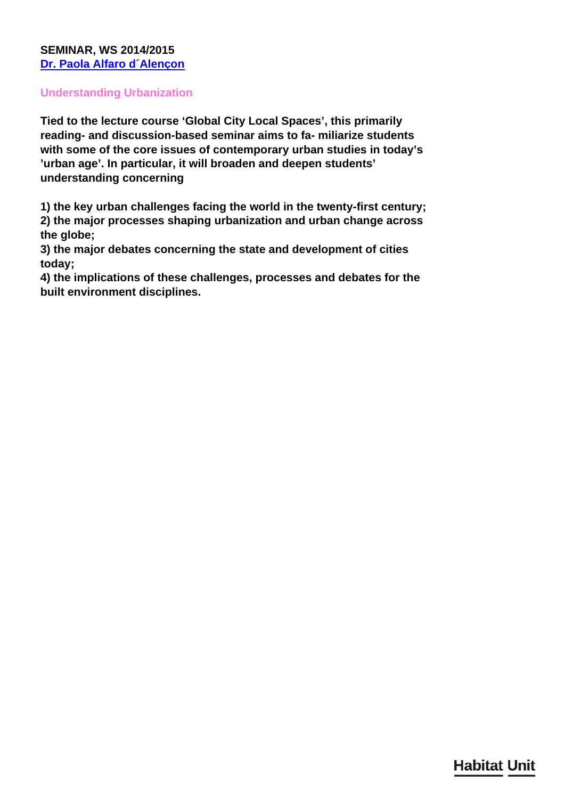### **SEMINAR, WS 2014/2015 [Dr. Paola Alfaro d´Alençon](/en/team/paola-alfaro-dalenon/)**

#### **Understanding Urbanization**

**Tied to the lecture course 'Global City Local Spaces', this primarily reading- and discussion-based seminar aims to fa- miliarize students with some of the core issues of contemporary urban studies in today's 'urban age'. In particular, it will broaden and deepen students' understanding concerning**

**1) the key urban challenges facing the world in the twenty-first century;**

**2) the major processes shaping urbanization and urban change across the globe;**

**3) the major debates concerning the state and development of cities today;**

**4) the implications of these challenges, processes and debates for the built environment disciplines.**

## **Habitat Unit**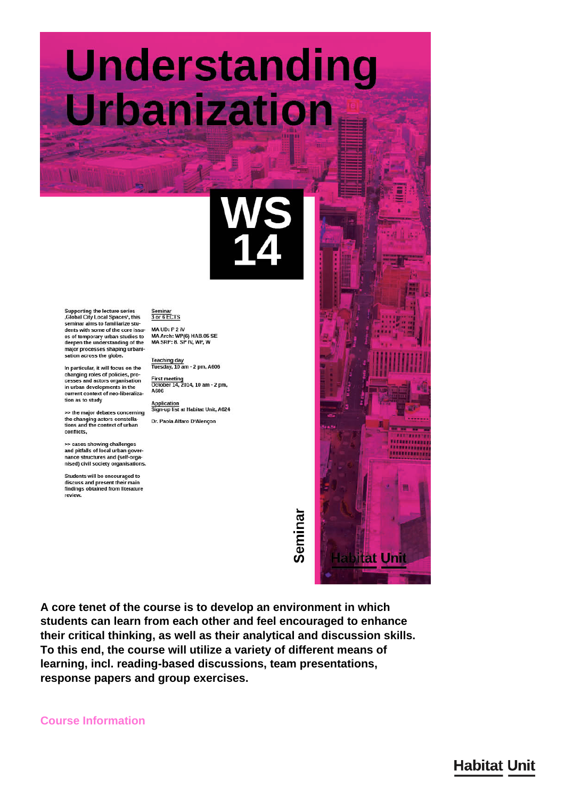## **Understanding** Urbanization

Supporting the lecture series<br>,Global City Local Spaces<sup>+</sup>, this<br>seminar aims to familiarize students with some of the core issu-<br>es of temporary urban studies to deepen the understanding of the major processes shaping urbanisation across the globe.

In particular, it will focus on the changing roles of policies, pro-<br>cesses and actors organisation in urban developments in the current context of neo-liberalization as to study

>> the major debates concerning the changing actors constella-<br>tions and the context of urban conflicts,

>> cases showing challenges<br>and pitfalls of local urban governance structures and (self-organised) civil society organisations.

Students will be encouraged to discuss and present their main<br>findings obtained from literature revie

 $\frac{Seminar}{3 \text{ or } 6 \text{ ECTS}}$ MA UD: P 2 IV MA Arch: WP(6) HAB.05 SE<br>MA Arch: WP(6) HAB.05 SE<br>MA SRP: 8. SP IV, WP, W

Teaching day<br>Tuesday, 10 am - 2 pm, A606

First meeting<br>October 14, 2014, 10 am - 2 pm, A606

Application<br>Sign-up list at Habitat Unit, A624 Dr. Paola Alfaro D'Alençon

# Semina

A core tenet of the course is to develop an environment in which students can learn from each other and feel encouraged to enhance their critical thinking, as well as their analytical and discussion skills. To this end, the course will utilize a variety of different means of learning, incl. reading-based discussions, team presentations, response papers and group exercises.

**Course Information**